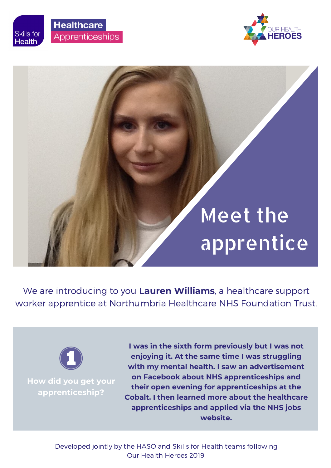





## Meet the apprentice

We are introducing to you **Lauren Williams**, a healthcare support worker apprentice at Northumbria Healthcare NHS Foundation Trust.



**How did you get your apprenticeship?**

**I was in the sixth form previously but I was not enjoying it. At the same time I was struggling with my mental health. I saw an advertisement on Facebook about NHS apprenticeships and their open evening for apprenticeships at the Cobalt. I then learned more about the healthcare apprenticeships and applied via the NHS jobs website.**